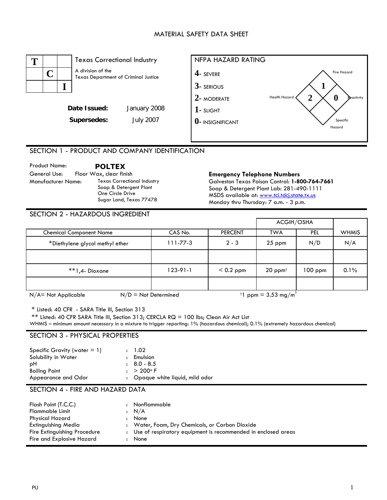#### MATERIAL SAFETY DATA SHEET



# SECTION 1 - PRODUCT AND COMPANY IDENTIFICATION

Product Name: **POLTEX** General Use: Floor Wax, clear finish **Emergency Telephone Numbers**  Manufacturer Name: Texas Correctional Industry Soap & Detergent Plant One Circle Drive Sugar Land, Texas 77478

Galveston Texas Poison Control: **1-800-764-7661**  Soap & Detergent Plant Lab: 281-490-1111 MSDS available at: www.tci.tdcj.state.tx.us Monday thru Thursday: 7 a.m. - 3 p.m.

### SECTION 2 - HAZARDOUS INGREDIENT

|                                 |                |                | ACGIH/OSHA                               |            |              |
|---------------------------------|----------------|----------------|------------------------------------------|------------|--------------|
| <b>Chemical Component Name</b>  | CAS No.        | <b>PERCENT</b> | <b>TWA</b>                               | <b>PEL</b> | <b>WHMIS</b> |
| *Diethylene glycol methyl ether | $111 - 77 - 3$ | $2 - 3$        | 25 ppm                                   | N/D        | N/A          |
|                                 |                |                |                                          |            |              |
| **1,4- Dioxane                  | $123-91-1$     | $< 0.2$ ppm    | $20$ ppm <sup><math>\dagger</math></sup> | $100$ ppm  | 0.1%         |
|                                 |                |                |                                          |            |              |

 $N/A$ = Not Applicable  $N/D$  = Not Determined  $1$  ppm = 3.53 mg/m<sup>3</sup>

\* Listed: 40 CFR - SARA Title III, Section 313

\*\* Listed: 40 CFR SARA Title III, Section 313; CERCLA RQ = 100 lbs; Clean Air Act List

WHMIS – minimum amount necessary in a mixture to trigger reporting: 1% (hazardous chemical); 0.1% (extremely hazardous chemical)

#### SECTION 3 - PHYSICAL PROPERTIES

| Specific Gravity (water $= 1$ )<br>Solubility in Water | : 1.02<br>: Emulsion                   |
|--------------------------------------------------------|----------------------------------------|
| рH                                                     | $\pm 8.0 - 8.5$<br>$: > 200^{\circ}$ F |
| <b>Boiling Point</b><br>Appearance and Odor            | : Opaque white liquid, mild odor       |

## SECTION 4 - FIRE AND HAZARD DATA

| Flash Point (T.C.C.)         | : Nonflammable                                                  |
|------------------------------|-----------------------------------------------------------------|
| <b>Flammable Limit</b>       | : N/A                                                           |
| Physical Hazard              | None                                                            |
| <b>Extinguishing Media</b>   | : Water, Foam, Dry Chemicals, or Carbon Dioxide                 |
| Fire Extinguishing Procedure | : Use of respiratory equipment is recommended in enclosed areas |
| Fire and Explosive Hazard    | None                                                            |